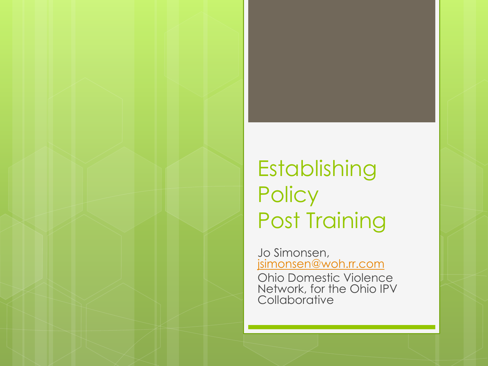### Establishing **Policy** Post Training

Jo Simonsen, [jsimonsen@woh.rr.com](mailto:jsimonsen@woh.rr.com)

Ohio Domestic Violence Network, for the Ohio IPV **Collaborative**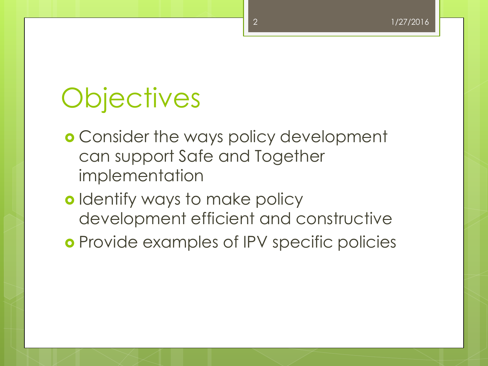# **Objectives**

- **o** Consider the ways policy development can support Safe and Together implementation
- **o** Identify ways to make policy development efficient and constructive
- **o** Provide examples of IPV specific policies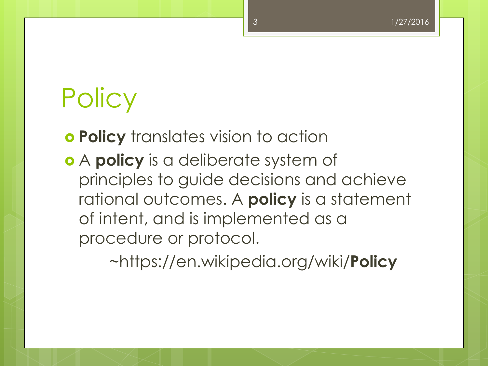# **Policy**

**Policy** translates vision to action

 A **policy** is a deliberate system of principles to guide decisions and achieve rational outcomes. A **policy** is a statement of intent, and is implemented as a procedure or protocol.

~https://en.wikipedia.org/wiki/**Policy**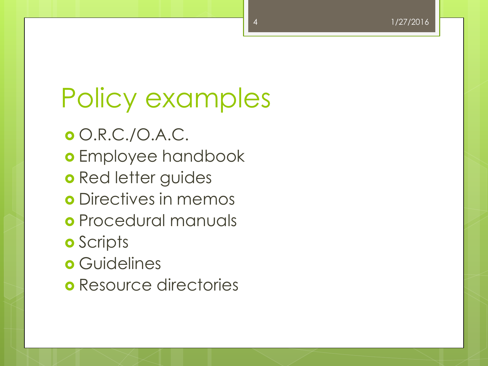# Policy examples

O.R.C./O.A.C.

- o Employee handbook
- o Red letter guides
- **o** Directives in memos
- Procedural manuals
- **o** Scripts
- **o** Guidelines
- **o** Resource directories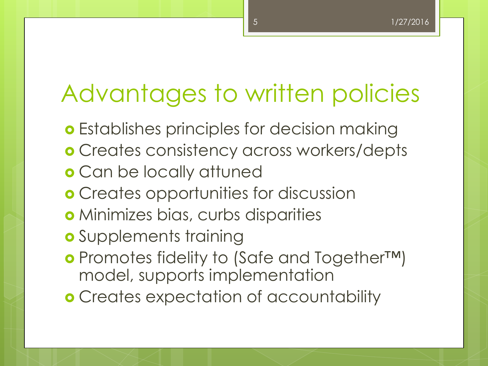### Advantages to written policies

- **o** Establishes principles for decision making
- Creates consistency across workers/depts
- Can be locally attuned
- **o** Creates opportunities for discussion
- Minimizes bias, curbs disparities
- **o** Supplements training
- Promotes fidelity to (Safe and Together™) model, supports implementation
- **o** Creates expectation of accountability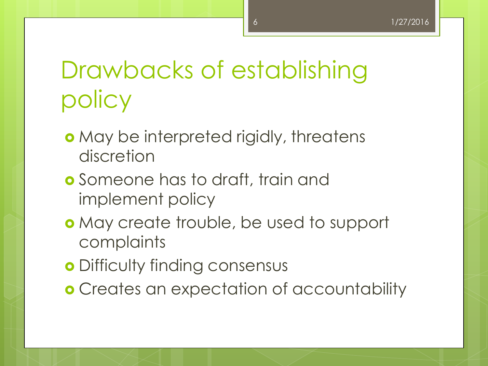### Drawbacks of establishing policy

- **o** May be interpreted rigidly, threatens discretion
- **o** Someone has to draft, train and implement policy
- May create trouble, be used to support complaints
- **o** Difficulty finding consensus
- **o** Creates an expectation of accountability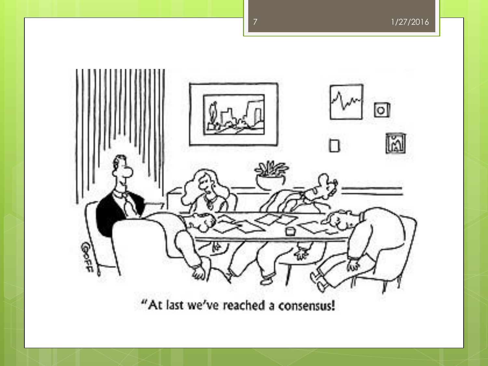

"At last we've reached a consensus!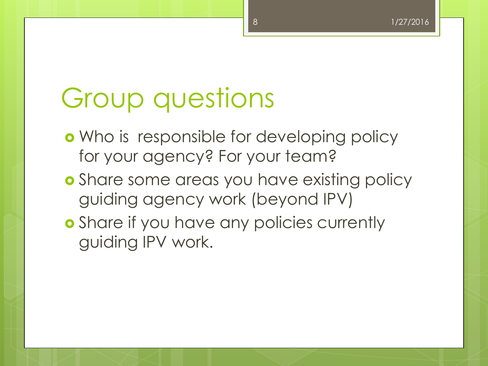# Group questions

- **o** Who is responsible for developing policy for your agency? For your team?
- **o** Share some areas you have existing policy guiding agency work (beyond IPV)
- **o** Share if you have any policies currently guiding IPV work.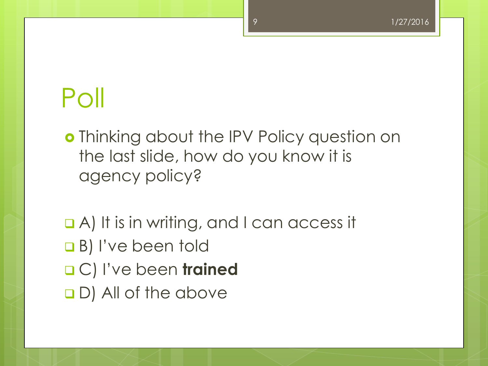# Poll

o Thinking about the IPV Policy question on the last slide, how do you know it is agency policy?

 A) It is in writing, and I can access it **B**) I've been told C) I've been **trained** D) All of the above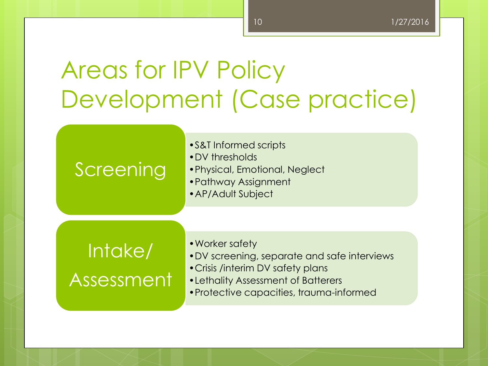## Areas for IPV Policy Development (Case practice)

### Screening

- •S&T Informed scripts
- •DV thresholds
- •Physical, Emotional, Neglect
- •Pathway Assignment
- •AP/Adult Subject

### Intake/ Assessment

- •Worker safety
- •DV screening, separate and safe interviews
- •Crisis /interim DV safety plans
- •Lethality Assessment of Batterers
- •Protective capacities, trauma-informed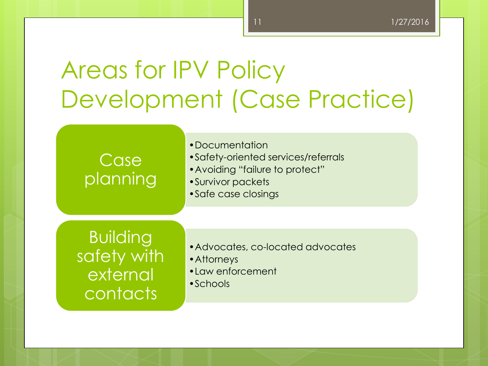## Areas for IPV Policy Development (Case Practice)

Case planning •Documentation

- •Safety-oriented services/referrals
- •Avoiding "failure to protect"
- •Survivor packets
- •Safe case closings

Building safety with external contacts

- •Advocates, co-located advocates
- •Attorneys
- •Law enforcement
- •Schools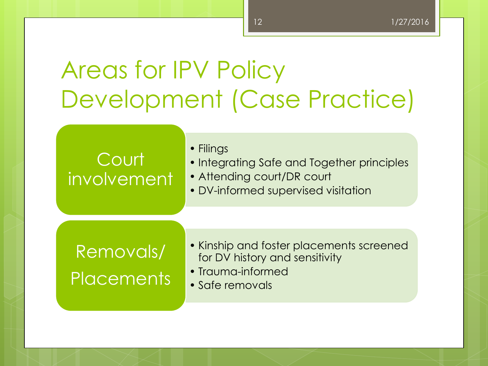## Areas for IPV Policy Development (Case Practice)

### **Court** involvement

• Filings

- Integrating Safe and Together principles
- Attending court/DR court
- DV-informed supervised visitation

### Removals/ **Placements**

- Kinship and foster placements screened for DV history and sensitivity
- Trauma-informed
- Safe removals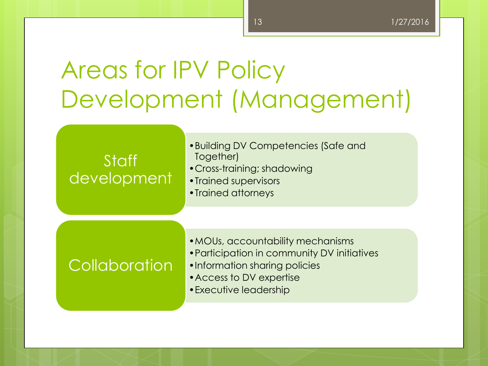## Areas for IPV Policy Development (Management)

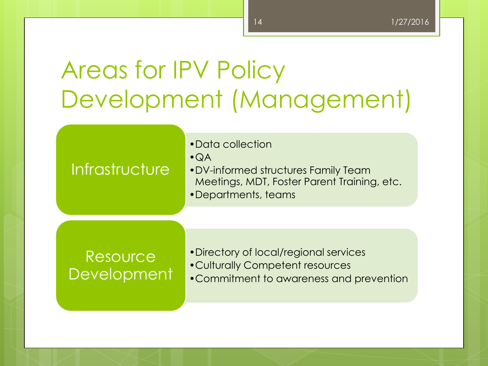## Areas for IPV Policy Development (Management)

#### **Infrastructure**

•Data collection

•QA

•DV-informed structures Family Team Meetings, MDT, Foster Parent Training, etc.

•Departments, teams

#### Resource **Development**

•Directory of local/regional services •Culturally Competent resources •Commitment to awareness and prevention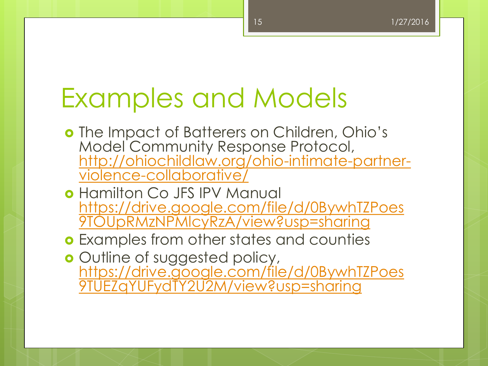## Examples and Models

- o The Impact of Batterers on Children, Ohio's Model Community Response Protocol, [http://ohiochildlaw.org/ohio-intimate-partner](http://ohiochildlaw.org/ohio-intimate-partner-violence-collaborative/)[violence-collaborative/](http://ohiochildlaw.org/ohio-intimate-partner-violence-collaborative/)
- o Hamilton Co JFS IPV Manual [https://drive.google.com/file/d/0BywhTZPoes](https://drive.google.com/file/d/0BywhTZPoes9TOUpRMzNPMlcyRzA/view?usp=sharing) [9TOUpRMzNPMlcyRzA/view?usp=sharing](https://drive.google.com/file/d/0BywhTZPoes9TOUpRMzNPMlcyRzA/view?usp=sharing)
- **o** Examples from other states and counties
- o Outline of suggested policy, [https://drive.google.com/file/d/0BywhTZPoes](https://drive.google.com/file/d/0BywhTZPoes9TUEZqYUFydTY2U2M/view?usp=sharing) [9TUEZqYUFydTY2U2M/view?usp=sharing](https://drive.google.com/file/d/0BywhTZPoes9TUEZqYUFydTY2U2M/view?usp=sharing)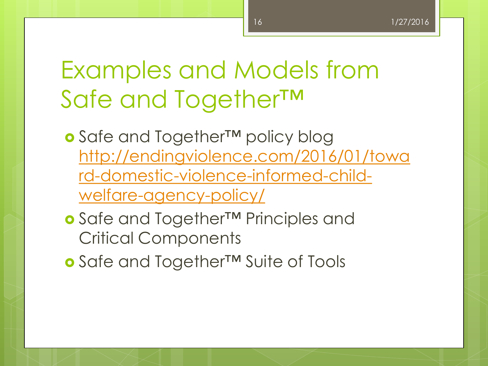### Examples and Models from Safe and Together™

- Safe and Together<sup>™</sup> policy blog [http://endingviolence.com/2016/01/towa](http://endingviolence.com/2016/01/toward-domestic-violence-informed-child-welfare-agency-policy/) [rd-domestic-violence-informed-child](http://endingviolence.com/2016/01/toward-domestic-violence-informed-child-welfare-agency-policy/)[welfare-agency-policy/](http://endingviolence.com/2016/01/toward-domestic-violence-informed-child-welfare-agency-policy/)
- o Safe and Together<sup>™</sup> Principles and Critical Components
- **o** Safe and Together™ Suite of Tools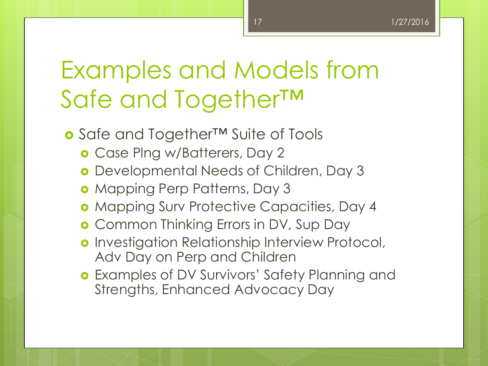### Examples and Models from Safe and Together™

- Safe and Together™ Suite of Tools
	- Case Plng w/Batterers, Day 2
	- Developmental Needs of Children, Day 3
	- **o** Mapping Perp Patterns, Day 3
	- **o** Mapping Surv Protective Capacities, Day 4
	- **o** Common Thinking Errors in DV, Sup Day
	- **o** Investigation Relationship Interview Protocol, Adv Day on Perp and Children
	- Examples of DV Survivors' Safety Planning and Strengths, Enhanced Advocacy Day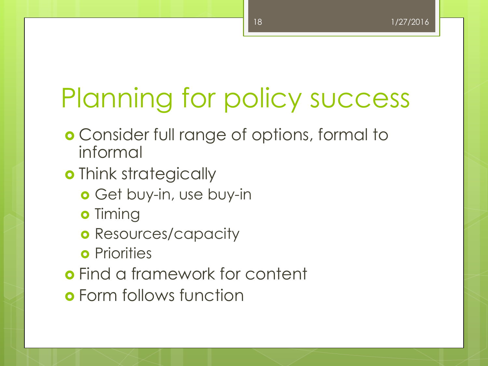# Planning for policy success

- **o** Consider full range of options, formal to informal
- o Think strategically
	- Get buy-in, use buy-in
	- **o** Timing
	- **o** Resources/capacity
	- **o** Priorities
- Find a framework for content
- Form follows function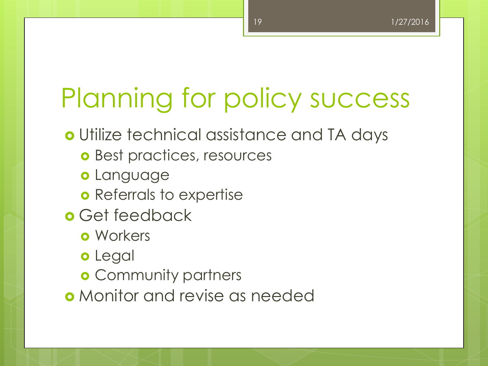# Planning for policy success

Utilize technical assistance and TA days

- **o** Best practices, resources
- o Language
- **o** Referrals to expertise
- **o** Get feedback
	- **o** Workers
	- o Legal
	- **o** Community partners
- Monitor and revise as needed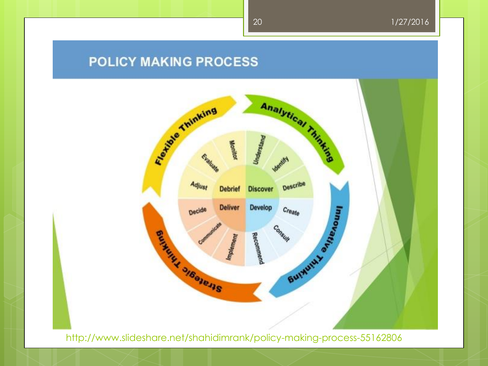#### **POLICY MAKING PROCESS**



http://www.slideshare.net/shahidimrank/policy-making-process-55162806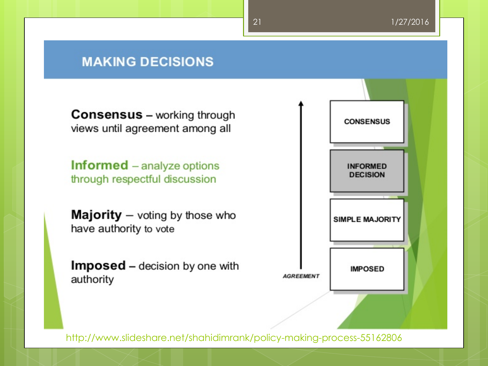#### **MAKING DECISIONS**

**Consensus** – working through views until agreement among all

**Informed** – analyze options through respectful discussion

**Majority**  $-$  voting by those who have authority to vote

Imposed - decision by one with authority



http://www.slideshare.net/shahidimrank/policy-making-process-55162806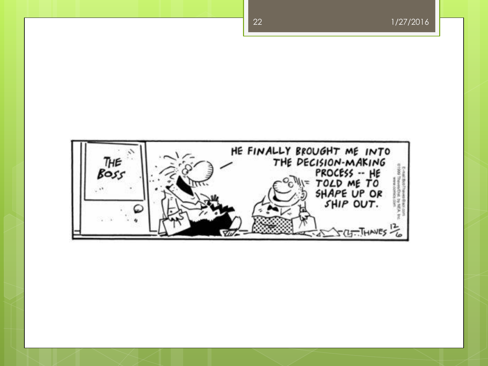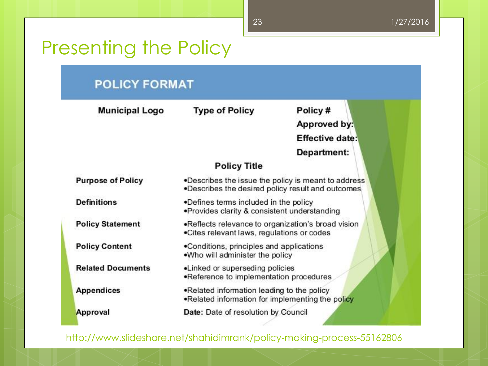### Presenting the Policy

#### **POLICY FORMAT**

| Municipal Logo           | <b>Type of Policy</b>                                                                                    | Policy#                |
|--------------------------|----------------------------------------------------------------------------------------------------------|------------------------|
|                          |                                                                                                          | Approved by:           |
|                          |                                                                                                          | <b>Effective date:</b> |
|                          |                                                                                                          | Department:            |
|                          | <b>Policy Title</b>                                                                                      |                        |
| <b>Purpose of Policy</b> | .Describes the issue the policy is meant to address<br>.Describes the desired policy result and outcomes |                        |
| <b>Definitions</b>       | .Defines terms included in the policy<br>. Provides clarity & consistent understanding                   |                        |
| <b>Policy Statement</b>  | •Reflects relevance to organization's broad vision<br>.Cites relevant laws, regulations or codes         |                        |
| <b>Policy Content</b>    | •Conditions, principles and applications<br>.Who will administer the policy                              |                        |
| <b>Related Documents</b> | •Linked or superseding policies<br>.Reference to implementation procedures                               |                        |
| <b>Appendices</b>        | .Related information leading to the policy<br>.Related information for implementing the policy           |                        |
| Approval                 | Date: Date of resolution by Council                                                                      |                        |

http://www.slideshare.net/shahidimrank/policy-making-process-55162806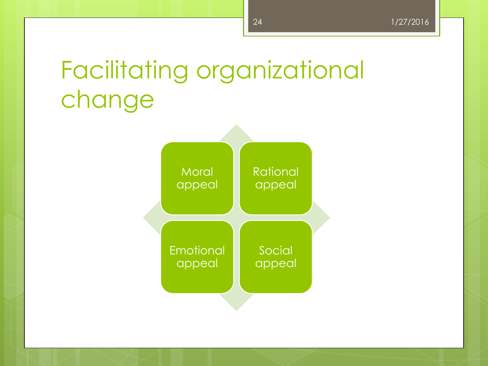# Facilitating organizational change

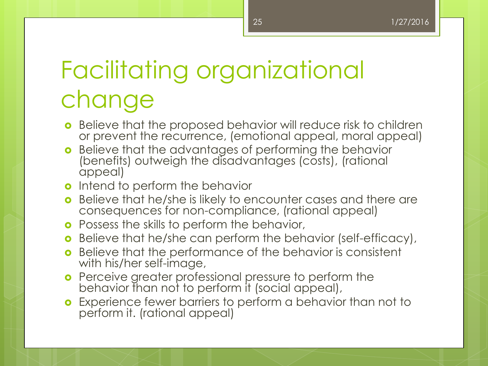# Facilitating organizational change

- **•** Believe that the proposed behavior will reduce risk to children or prevent the recurrence, (emotional appeal, moral appeal)
- **o** Believe that the advantages of performing the behavior (benefits) outweigh the disadvantages (costs), (rational appeal)
- o Intend to perform the behavior
- **o** Believe that he/she is likely to encounter cases and there are consequences for non-compliance, (rational appeal)
- **o** Possess the skills to perform the behavior,
- **o** Believe that he/she can perform the behavior (self-efficacy),
- **o** Believe that the performance of the behavior is consistent with his/her self-image,
- **o** Perceive greater professional pressure to perform the behavior than not to perform it (social appeal),
- **o** Experience fewer barriers to perform a behavior than not to perform it. (rational appeal)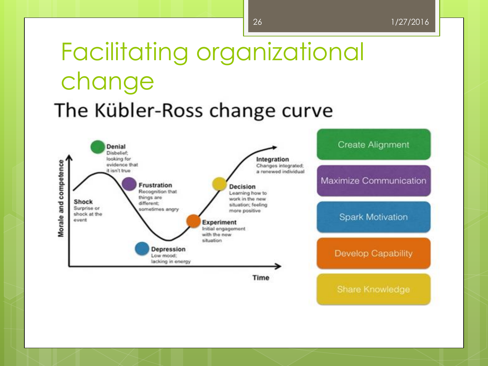## Facilitating organizational change The Kübler-Ross change curve

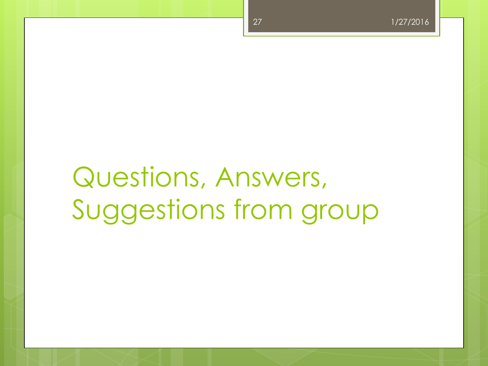# Questions, Answers, Suggestions from group